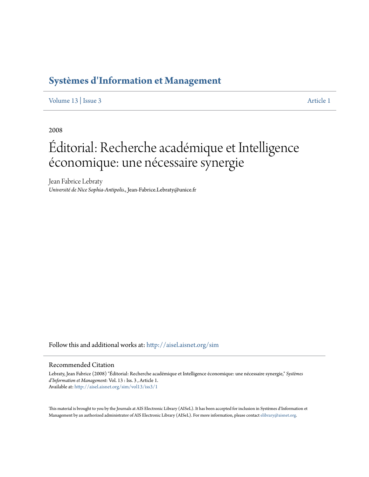# **[Systèmes d'Information et Management](http://aisel.aisnet.org/sim?utm_source=aisel.aisnet.org%2Fsim%2Fvol13%2Fiss3%2F1&utm_medium=PDF&utm_campaign=PDFCoverPages)**

[Volume 13](http://aisel.aisnet.org/sim/vol13?utm_source=aisel.aisnet.org%2Fsim%2Fvol13%2Fiss3%2F1&utm_medium=PDF&utm_campaign=PDFCoverPages) | [Issue 3](http://aisel.aisnet.org/sim/vol13/iss3?utm_source=aisel.aisnet.org%2Fsim%2Fvol13%2Fiss3%2F1&utm_medium=PDF&utm_campaign=PDFCoverPages) [Article 1](http://aisel.aisnet.org/sim/vol13/iss3/1?utm_source=aisel.aisnet.org%2Fsim%2Fvol13%2Fiss3%2F1&utm_medium=PDF&utm_campaign=PDFCoverPages)

2008

# Éditorial: Recherche académique et Intelligence économique: une nécessaire synergie

Jean Fabrice Lebraty *Université de Nice Sophia-Antipolis.*, Jean-Fabrice.Lebraty@unice.fr

Follow this and additional works at: [http://aisel.aisnet.org/sim](http://aisel.aisnet.org/sim?utm_source=aisel.aisnet.org%2Fsim%2Fvol13%2Fiss3%2F1&utm_medium=PDF&utm_campaign=PDFCoverPages)

#### Recommended Citation

Lebraty, Jean Fabrice (2008) "Éditorial: Recherche académique et Intelligence économique: une nécessaire synergie," *Systèmes d'Information et Management*: Vol. 13 : Iss. 3 , Article 1. Available at: [http://aisel.aisnet.org/sim/vol13/iss3/1](http://aisel.aisnet.org/sim/vol13/iss3/1?utm_source=aisel.aisnet.org%2Fsim%2Fvol13%2Fiss3%2F1&utm_medium=PDF&utm_campaign=PDFCoverPages)

This material is brought to you by the Journals at AIS Electronic Library (AISeL). It has been accepted for inclusion in Systèmes d'Information et Management by an authorized administrator of AIS Electronic Library (AISeL). For more information, please contact [elibrary@aisnet.org](mailto:elibrary@aisnet.org%3E).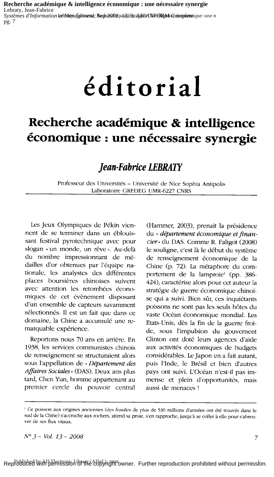Recherche académique & intelligence économique : une nécessaire synergie Lebraty, Jean-Fabrice Systèmes d'Information letbrandidation: Sephenobs ad 31 Spiel EINHORM Completeique: une n  $p_{\mathfrak{L}}$ . 7

# *éditorial*

# Recherche académique & intelligence économique : une nécessaire synergie

# **Jean-Fabrice LEBRATY**

Professeur des Universités - Université de Nice Sophia Antipolis Laboratoire GREDEG UMR-6227 CNRS

Les Jeux Olympiques de Pékin viennent de se terminer dans un éblouissant festival pyrotechnique avec pour slogan « un monde, un rêve ». Au-delà du nombre impressionnant de médailles d'or obtenues par l'équipe nationale, les analystes des différentes places boursières chinoises suivent avec attention les retombées économiques de cet évènement disposant d'un ensemble de capteurs savamment sélectionnés. Il est un fait que dans ce domaine, la Chine a accumulé une remarquable expérience.

Reportons nous 70 ans en arrière. En 1938, les services communistes chinois de renseignement se structuraient alors sous l'appellation de « Département des Affaires Sociales» (DAS). Deux ans plus tard, Chen Yun, homme appartenant au premier cercle du pouvoir central

(Hammer, 2003), prenait la présidence du « département économique et financier» du DAS. Comme R. Faligot (2008) le souligne, c'est là le début du système de renseignement économique de la Chine (p. 72). La métaphore du comportement de la lamproie<sup>1</sup> (pp. 386-424), caractérise alors pour cet auteur la stratégie de guerre économique chinoise qui a suivi. Bien sûr, ces inquiétants poissons ne sont pas les seuls hôtes du vaste Océan économique mondial. Les Etats-Unis, dès la fin de la guerre froide, sous l'impulsion du gouvernent Clinton ont doté leurs agences d'aide aux activités économiques de budgets considérables. Le Japon en a fait autant, puis l'Inde, le Brésil et bien d'autres pays ont suivi. L'Océan n'est-il pas immense et plein d'opportunités, mais aussi de menaces!

Ce poisson aux origines anciennes (des fossiles de plus de 530 millions d'années ont été trouvés dans le sud de la Chine) s'accroche aux rochers, attend sa proie, s'en rapproche, jusqu'à se coller à elle pour s'abreuver de ses flux vitaux.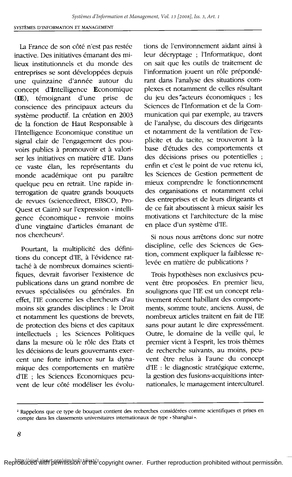La France de son côté n'est pas restée inactive. Des initiatives émanant des milieux institutionnels et du monde des entreprises se sont développées depuis une quinzaine d'année autour du concept d'Intelligence Economique (IE), témoignant d'une prise de conscience des principaux acteurs du système productif. La création en 2003 de la fonction de Haut Responsable à l'Intelligence Economique constitue un signal clair de l'engagement des pouvoirs publics à promouvoir et à valoriser les initiatives en matière d'IE. Dans ce vaste élan, les représentants du monde académique ont pu paraître quelque peu en retrait. Une rapide interrogation de quatre grands bouquets de revues (sciencedirect, EBSCO, Pro-Quest et Cairn) sur l'expression « intelligence économique » renvoie moins d'une vingtaine d'articles émanant de nos chercheurs<sup>2</sup>.

Pourtant, la multiplicité des définitions du concept d'IE, à l'évidence rattaché à de nombreux domaines scientifiques, devrait favoriser l'existence de publications dans un grand nombre de revues spécialisées ou générales. En effet, l'IE concerne les chercheurs d'au moins six grandes disciplines : le Droit et notamment les questions de brevets, de protection des biens et des capitaux intellectuels ; les Sciences Politiques dans la mesure où le rôle des Etats et les décisions de leurs gouvernants exercent une forte influence sur la dynamique des comportements en matière d'IE ; les Sciences Economiques peuvent de leur côté modéliser les évolutions de l'environnement aidant ainsi à leur décryptage ; l'Informatique, dont on sait que les outils de traitement de l'information jouent un rôle prépondérant dans l'analyse des situations complexes et notamment de celles résultant du jeu des acteurs économiques ; les Sciences de l'Information et de la Communication qui par exemple, au travers de l'analyse, du discours des dirigeants et notamment de la ventilation de l'explicite et du tacite, se trouveront à la base d'études des comportements et des décisions prises ou potentielles ; enfin et c'est le point de vue retenu ici, les Sciences de Gestion permettent de mieux comprendre le fonctionnement des organisations et notamment celui des entreprises et de leurs dirigeants et de ce fait aboutissent à mieux saisir les motivations et l'architecture de la mise en place d'un système d'IE.

Si nous nous arrêtons donc sur notre discipline, celle des Sciences de Gestion, comment expliquer la faiblesse relevée en matière de publications ?

Trois hypothèses non exclusives peuvent être proposées. En premier lieu, soulignons que l'IE est un concept relativement récent habillant des comportements, somme toute, anciens. Aussi, de nombreux articles traitent en fait de l'IE sans pour autant le dire expressément. Outre, le domaine de la veille qui, le premier vient à l'esprit, les trois thèmes de recherche suivants, au moins, peuvent être relus à l'aune du concept d'IE : le diagnostic stratégique externe, la gestion des fusions-acquisitions internationales, le management interculturel.

<sup>&</sup>lt;sup>2</sup> Rappelons que ce type de bouquet contient des recherches considérées comme scientifiques et prises en compte dans les classements universitaires internationaux de type · Shanghai ».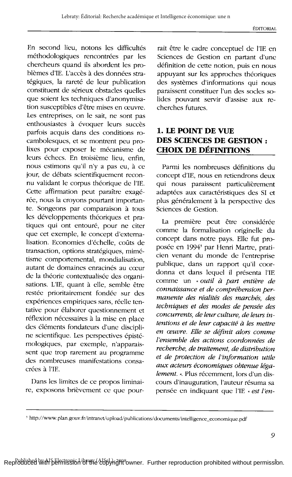En second lieu, notons les difficultés méthodologiques rencontrées par les chercheurs quand ils abordent les problèmes d'IE. L'accès à des données stratégiques, la rareté de leur publication constituent de sérieux obstacles quelles que soient les techniques d'anonymisation susceptibles d'être mises en œuvre. Les entreprises, on le sait, ne sont pas enthousiastes à évoquer leurs succès parfois acquis dans des conditions rocambolesques, et se montrent peu prolixes pour exposer le mécanisme de leurs échecs. En troisième lieu, enfin. nous estimons qu'il n'y a pas eu, à ce jour, de débats scientifiquement reconnu validant le corpus théorique de l'IE. Cette affirmation peut paraître exagérée, nous la croyons pourtant importante. Songeons par comparaison à tous les développements théoriques et pratiques qui ont entouré, pour ne citer que cet exemple, le concept d'externalisation. Economies d'échelle, coûts de transaction, options stratégiques, mimétisme comportemental, mondialisation, autant de domaines enracinés au cœur de la théorie contextualisée des organisations. L'IE, quant à elle, semble être restée prioritairement fondée sur des expériences empiriques sans, réelle tentative pour élaborer questionnement et réflexion nécessaires à la mise en place des éléments fondateurs d'une discipline scientifique. Les perspectives épistémologiques, par exemple, n'apparaissent que trop rarement au programme des nombreuses manifestations consacrées à l'IE.

Dans les limites de ce propos liminaire, exposons brièvement ce que pour-

rait être le cadre conceptuel de l'IE en Sciences de Gestion en partant d'une définition de cette notion, puis en nous appuyant sur les approches théoriques des systèmes d'informations qui nous paraissent constituer l'un des socles solides pouvant servir d'assise aux recherches futures.

## 1. LE POINT DE VUE DES SCIENCES DE GESTION : **CHOIX DE DÉFINITIONS**

Parmi les nombreuses définitions du concept d'IE, nous en retiendrons deux qui nous paraissent particulièrement adaptées aux caractéristiques des SI et plus généralement à la perspective des Sciences de Gestion.

La première peut être considérée comme la formalisation originelle du concept dans notre pays. Elle fut proposée en 1994<sup>3</sup> par Henri Martre, praticien venant du monde de l'entreprise publique, dans un rapport qu'il coordonna et dans lequel il présenta l'IE comme un « outil à part entière de connaissance et de compréhension permanente des réalités des marchés, des techniques et des modes de pensée des concurrents, de leur culture, de leurs intentions et de leur capacité à les mettre en œuvre. Elle se définit alors comme l'ensemble des actions coordonnées de recherche, de traitement, de distribution et de protection de l'information utile aux acteurs économiques obtenue légalement. ». Plus récemment, lors d'un discours d'inauguration, l'auteur résuma sa pensée en indiquant que l'IE « est l'en-

<sup>3</sup> http://www.plan.gouv.fr/intranet/upload/publications/documents/intelligence\_economique.pdf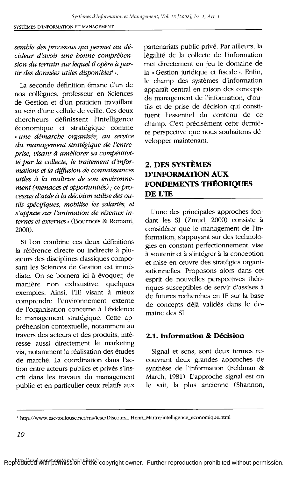#### semble des processus qui permet au décideur d'avoir une bonne comprébension du terrain sur lequel il opère à partir des données utiles disponibles<sup>4</sup>».

La seconde définition émane d'un de nos collègues, professeur en Sciences de Gestion et d'un praticien travaillant au sein d'une cellule de veille. Ces deux chercheurs définissent l'intelligence économique et stratégique comme « une démarche organisée, au service du management stratégique de l'entreprise, visant à améliorer sa compétitivité par la collecte, le traitement d'informations et la diffusion de connaissances utiles à la maîtrise de son environnement (menaces et opportunités) ; ce processus d'aide à la décision utilise des outils spécifiques, mobilise les salariés, et s'appuie sur l'animation de réseaux internes et externes » (Bournois & Romani,  $2000$ ).

Si l'on combine ces deux définitions la référence directe ou indirecte à plusieurs des disciplines classiques composant les Sciences de Gestion est immédiate. On se bornera ici à évoquer, de manière non exhaustive, quelques exemples. Ainsi, l'IE visant à mieux comprendre l'environnement externe de l'organisation concerne à l'évidence le management stratégique. Cette appréhension contextuelle, notamment au travers des acteurs et des produits, intéresse aussi directement le marketing via, notamment la réalisation des études de marché. La coordination dans l'action entre acteurs publics et privés s'inscrit dans les travaux du management public et en particulier ceux relatifs aux partenariats public-privé. Par ailleurs, la légalité de la collecte de l'information met directement en jeu le domaine de la « Gestion juridique et fiscale ». Enfin, le champ des systèmes d'information apparaît central en raison des concepts de management de l'information, d'outils et de prise de décision qui constituent l'essentiel du contenu de ce champ. C'est précisément cette dernière perspective que nous souhaitons développer maintenant.

# 2. DES SYSTÈMES **D'INFORMATION AUX** FONDEMENTS THÉORIQUES DE L'IE

L'une des principales approches fondant les SI (Zmud, 2000) consiste à considérer que le management de l'information, s'appuyant sur des technologies en constant perfectionnement, vise à soutenir et à s'intégrer à la conception et mise en œuvre des stratégies organisationnelles. Proposons alors dans cet esprit de nouvelles perspectives théoriques susceptibles de servir d'assises à de futures recherches en IE sur la base de concepts déjà validés dans le domaine des SI.

### 2.1. Information & Décision

Signal et sens, sont deux termes recouvrant deux grandes approches de synthèse de l'information (Feldman & March, 1981). L'approche signal est on le sait, la plus ancienne (Shannon,

<sup>4</sup> http://www.esc-toulouse.net/ms/iese/Discours\_Henri\_Martre/intelligence\_economique.html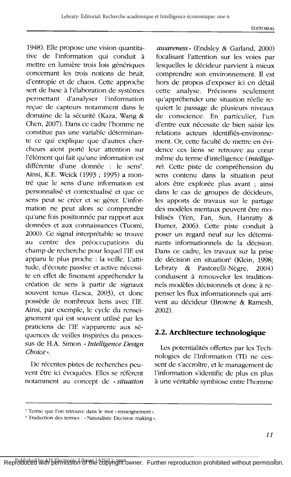1948). Elle propose une vision quantitative de l'information qui conduit à mettre en lumière trois lois génériques concernant les trois notions de bruit, d'entropie et de chaos. Cette approche sert de base à l'élaboration de systèmes permettant d'analyser l'information reçue de capteurs notamment dans le domaine de la sécurité (Kaza, Wang & Chen, 2007). Dans ce cadre l'homme ne constitue pas une variable déterminante ce qui explique que d'autres chercheurs aient porté leur attention sur l'élément qui fait qu'une information est différente d'une donnée : le sens<sup>5</sup>. Ainsi, K.E. Weick (1993 ; 1995) a montré que le sens d'une information est personnalisé et contextualisé et que ce sens peut se créer et se gérer. L'information ne peut alors se comprendre qu'une fois positionnée par rapport aux données et aux connaissances (Tuomi, 2000). Ce signal interprétable se trouve au centre des préoccupations du champ de recherche pour lequel l'IE est apparu le plus proche : la veille. L'attitude, d'écoute passive et active nécessite en effet de finement appréhender la création de sens à partir de signaux souvent tenus (Lesca, 2003), et donc possède de nombreux liens avec l'IE. Ainsi, par exemple, le cycle du renseignement qui est souvent utilisé par les praticiens de l'IE s'apparente aux séquences de veilles inspirées du processus de H.A. Simon « Intelligence Design  $Choice.$ 

De récentes pistes de recherches peuvent être ici évoquées. Elles se réfèrent notamment au concept de « situation

awareness » (Endsley & Garland, 2000) focalisant l'attention sur les voies par lesquelles le décideur parvient à mieux comprendre son environnement. Il est hors de propos d'exposer ici en détail cette analyse. Précisons seulement qu'appréhender une situation réelle requiert le passage de plusieurs niveaux de conscience. En particulier, l'un d'entre eux nécessite de bien saisir les relations acteurs identifiés-environnement. Or, cette faculté de mettre en évidence ces liens se retrouve au cœur même du terme d'intelligence (*intellige*re). Cette piste de compréhension du sens contenu dans la situation peut alors être explorée plus avant ; ainsi dans le cas de groupes de décideurs, les apports de travaux sur le partage des modèles mentaux peuvent être mobilisés (Yen, Fan, Sun, Hanratty & Dumer, 2006). Cette piste conduit à poser un regard neuf sur les déterminants informationnels de la décision. Dans ce cadre, les travaux sur la prise de décision en situation<sup>6</sup> (Klein, 1998; Lebraty  $\&$ Pastorelli-Nègre,  $2004$ conduisent à renouveler les traditionnels modèles décisionnels et donc à repenser les flux informationnels qui arrivent au décideur (Browne & Ramesh,  $2002$ ).

#### 2.2. Architecture technologique

Les potentialités offertes par les Technologies de l'Information (TI) ne cessent de s'accroître, et le management de l'information s'identifie de plus en plus à une véritable symbiose entre l'homme

<sup>&</sup>lt;sup>5</sup> Terme que l'on retrouve dans le mot « renseignement ».

<sup>&</sup>lt;sup>6</sup> Traduction des termes : « Naturalistic Decision making ».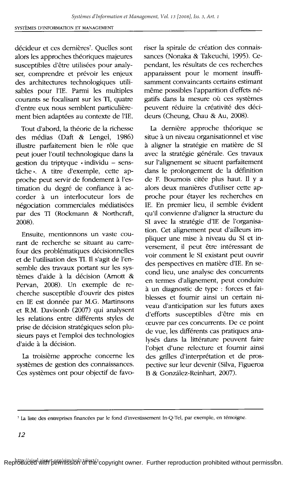décideur et ces dernières<sup>7</sup>. Quelles sont alors les approches théoriques majeures susceptibles d'être utilisées pour analyser, comprendre et prévoir les enjeux des architectures technologiques utilisables pour l'IE. Parmi les multiples courants se focalisant sur les TI, quatre d'entre eux nous semblent particulièrement bien adaptées au contexte de l'IE.

Tout d'abord, la théorie de la richesse des médias (Daft & Lengel, 1986) illustre parfaitement bien le rôle que peut jouer l'outil technologique dans la gestion du triptyque « individu - senstâche». A titre d'exemple, cette approche peut servir de fondement à l'estimation du degré de confiance à accorder à un interlocuteur lors de négociation commerciales médiatisées par des TI (Rockmann & Northcraft, 2008).

Ensuite, mentionnons un vaste courant de recherche se situant au carrefour des problématiques décisionnelles et de l'utilisation des TI. Il s'agit de l'ensemble des travaux portant sur les systèmes d'aide à la décision (Arnott & Pervan, 2008). Un exemple de recherche susceptible d'ouvrir des pistes en IE est donnée par M.G. Martinsons et R.M. Davisonb (2007) qui analysent les relations entre différents styles de prise de décision stratégiques selon plusieurs pays et l'emploi des technologies d'aide à la décision.

La troisième approche concerne les systèmes de gestion des connaissances. Ces systèmes ont pour objectif de favoriser la spirale de création des connaissances (Nonaka & Takeuchi, 1995). Cependant, les résultats de ces recherches apparaissent pour le moment insuffisamment convaincants certains estimant même possibles l'apparition d'effets négatifs dans la mesure où ces systèmes peuvent réduire la créativité des décideurs (Cheung, Chau & Au, 2008).

La dernière approche théorique se situe à un niveau organisationnel et vise à aligner la stratégie en matière de SI avec la stratégie générale. Ces travaux sur l'alignement se situent parfaitement dans le prolongement de la définition de F. Bournois citée plus haut. Il y a alors deux manières d'utiliser cette approche pour étayer les recherches en IE. En premier lieu, il semble évident qu'il convienne d'aligner la structure du SI avec la stratégie d'IE de l'organisation. Cet alignement peut d'ailleurs impliquer une mise à niveau du SI et inversement, il peut être intéressant de voir comment le SI existant peut ouvrir des perspectives en matière d'IE. En second lieu, une analyse des concurrents en termes d'alignement, peut conduire à un diagnostic de type : forces et faiblesses et fournir ainsi un certain niveau d'anticipation sur les futurs axes d'efforts susceptibles d'être mis en œuvre par ces concurrents. De ce point de vue, les différents cas pratiques analysés dans la littérature peuvent faire l'objet d'une relecture et fournir ainsi des grilles d'interprétation et de prospective sur leur devenir (Silva, Figueroa B & González-Reinhart, 2007).

<sup>&#</sup>x27; La liste des entreprises financées par le fond d'investissement In-Q-Tel, par exemple, en témoigne.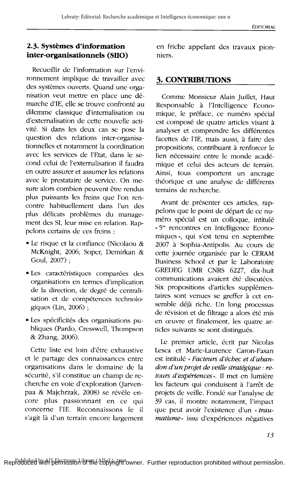#### 2.3. Systèmes d'information inter-organisationnels (SIIO)

Recueillir de l'information sur l'environnement implique de travailler avec des systèmes ouverts. Quand une organisation veut mettre en place une démarche d'IE, elle se trouve confronté au dilemme classique d'internalisation ou d'externalisation de cette nouvelle activité. Si dans les deux cas se pose la question des relations inter-organisationnelles et notamment la coordination avec les services de l'Etat. dans le second celui de l'externalisation il faudra en outre assurer et assumer les relations avec le prestataire de service. On mesure alors combien peuvent être rendus plus puissants les freins que l'on rencontre habituellement dans l'un des plus délicats problèmes du management des SI, leur mise en relation. Rappelons certains de ces freins :

- · Le risque et la confiance (Nicolaou & McKnight, 2006; Soper, Demirkan & Goul, 2007);
- · Les caractéristiques comparées des organisations en termes d'implication de la direction, de degré de centralisation et de compétences technologiques (Lin, 2006);
- · Les spécificités des organisations publiques (Pardo, Cresswell, Thompson & Zhang, 2006).

Cette liste est loin d'être exhaustive et le partage des connaissances entre organisations dans le domaine de la sécurité, s'il constitue un champ de recherche en voie d'exploration (Jarvenpaa & Majchrzak, 2008) se révèle encore plus passionnant en ce qui concerne l'IE. Reconnaissons le il s'agit là d'un terrain encore largement

en friche appelant des travaux pionniers.

#### **3. CONTRIBUTIONS**

Comme Monsieur Alain Juillet, Haut Responsable à l'Intelligence Economique, le préface, ce numéro spécial est composé de quatre articles visant à analyser et comprendre les différentes facettes de l'IE, mais aussi, à faire des propositions, contribuant à renforcer le lien nécessaire entre le monde académique et celui des acteurs de terrain. Ainsi, tous comportent un ancrage théorique et une analyse de différents terrains de recherche.

Avant de présenter ces articles, rappelons que le point de départ de ce numéro spécial est un colloque, intitulé « 5<sup>es</sup> rencontres en Intelligence Economiques », qui s'est tenu en septembre 2007 à Sophia-Antipolis. Au cours de cette journée organisée par le CERAM Business School et par le Laboratoire GREDEG UMR CNRS 6227, dix-huit communications avaient été discutées. Six propositions d'articles supplémentaires sont venues se greffer à cet ensemble déjà riche. Un long processus de révision et de filtrage a alors été mis en œuvre et finalement, les quatre articles suivants se sont distingués.

Le premier article, écrit par Nicolas Lesca et Marie-Laurence Caron-Fasan est intitulé « Facteurs d'échec et d'abandon d'un projet de veille stratégique : retours d'expériences». Il met en lumière les facteurs qui conduisent à l'arrêt de projets de veille. Fondé sur l'analyse de 39 cas, il montre notamment, l'impact que peut avoir l'existence d'un « traumatisme» issu d'expériences négatives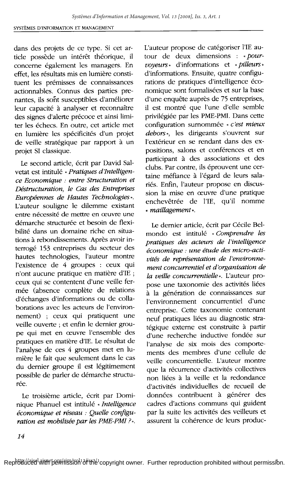dans des projets de ce type. Si cet article possède un intérêt théorique, il concerne également les managers. En effet. les résultats mis en lumière constituent les prémisses de connaissances actionnables. Connus des parties prenantes, ils sont susceptibles d'améliorer leur capacité à analyser et reconnaître des signes d'alerte précoce et ainsi limiter les échecs. En outre, cet article met en lumière les spécificités d'un projet de veille stratégique par rapport à un projet SI classique.

Le second article, écrit par David Salvetat est intitulé « Pratiques d'Intelligence Economique : entre Structuration et Déstructuration, le Cas des Entreprises Européennes de Hautes Technologies». L'auteur souligne le dilemme existant entre nécessité de mettre en œuvre une démarche structurée et besoin de flexibilité dans un domaine riche en situations à rebondissements. Après avoir interrogé 153 entreprises du secteur des hautes technologies, l'auteur montre l'existence de 4 groupes : ceux qui n'ont aucune pratique en matière d'IE ; ceux qui se contentent d'une veille fermée (absence complète de relations d'échanges d'informations ou de collaborations avec les acteurs de l'environnement) ; ceux qui pratiquent une veille ouverte ; et enfin le dernier groupe qui met en œuvre l'ensemble des pratiques en matière d'IE. Le résultat de l'analyse de ces 4 groupes met en lumière le fait que seulement dans le cas du dernier groupe il est légitimement possible de parler de démarche structurée.

Le troisième article, écrit par Dominique Phanuel est intitulé « Intelligence économique et réseau : Quelle configuration est mobilisée par les PME-PMI ?».

L'auteur propose de catégoriser l'IE autour de deux dimensions : « pourvoveurs \* d'informations et « pilleurs » d'informations. Ensuite, quatre configurations de pratiques d'intelligence économique sont formalisées et sur la base d'une enquête auprès de 75 entreprises, il est montré que l'une d'elle semble privilégiée par les PME-PMI. Dans cette configuration surnommée « c'est mieux debors». les dirigeants s'ouvrent sur l'extérieur en se rendant dans des expositions, salons et conférences et en participant à des associations et des clubs. Par contre, ils éprouvent une certaine méfiance à l'égard de leurs salariés. Enfin, l'auteur propose en discussion la mise en œuvre d'une pratique enchevêtrée de l'IE, qu'il nomme « maillagement ».

Le dernier article, écrit par Cécile Belmondo est intitulé « Comprendre les pratiques des acteurs de l'intelligence -<br>économique : une étude des micro-activités de représentation de l'environnement concurrentiel et d'organisation de la veille concurrentielle». L'auteur propose une taxonomie des activités liées à la génération de connaissances sur l'environnement concurrentiel d'une entreprise. Cette taxonomie contenant neuf pratiques liées au diagnostic stratégique externe est construite à partir d'une recherche inductive fondée sur l'analyse de six mois des comportements des membres d'une cellule de veille concurrentielle. L'auteur montre que la récurrence d'activités collectives non liées à la veille et la redondance d'activités individuelles de recueil de données contribuent à générer des cadres d'actions communs qui guident par la suite les activités des veilleurs et assurent la cohérence de leurs produc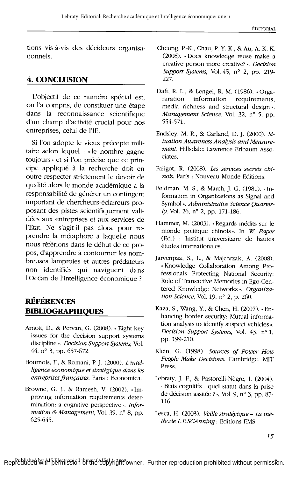tions vis-à-vis des décideurs organisationnels.

## 4. CONCLUSION

L'objectif de ce numéro spécial est, on l'a compris, de constituer une étape dans la reconnaissance scientifique d'un champ d'activité crucial pour nos entreprises, celui de l'IE.

Si l'on adopte le vieux précepte militaire selon lequel : « le nombre gagne toujours » et si l'on précise que ce principe appliqué à la recherche doit en outre respecter strictement le devoir de qualité alors le monde académique a la responsabilité de générer un contingent important de chercheurs-éclaireurs proposant des pistes scientifiquement validées aux entreprises et aux services de l'Etat. Ne s'agit-il pas alors, pour reprendre la métaphore à laquelle nous nous référions dans le début de ce propos, d'apprendre à contourner les nombreuses lamproies et autres prédateurs non identifiés qui naviguent dans l'Océan de l'intelligence économique ?

## **RÉFÉRENCES BIBLIOGRAPHIQUES**

- Arnott, D., & Pervan, G. (2008). « Eight key issues for the decision support systems discipline ». Decision Support Systems, Vol. 44, n° 3, pp. 657-672.
- Bournois, F., & Romani, P. J. (2000). L'intelligence économique et stratégique dans les entreprises françaises. Paris : Economica.
- Browne, G. J., & Ramesh, V. (2002). «Improving information requirements determination: a cognitive perspective». Information & Management, Vol. 39, n° 8, pp. 625-645.
- Cheung, P.-K., Chau, P. Y. K., & Au, A. K. K. (2008). «Does knowledge reuse make a creative person more creative?». Decision Support Systems, Vol. 45, nº 2, pp. 219-227.
- Daft, R. L., & Lengel, R. M. (1986). « Organiration information requirements, media richness and structural design». Management Science, Vol. 32, nº 5, pp. 554-571.
- Endsley, M. R., & Garland, D. J. (2000). Situation Awareness Analysis and Measurement. Hillsdale: Lawrence Erlbaum Associates.
- Faligot, R. (2008). Les services secrets chinois. Paris : Nouveau Monde Editions.
- Feldman, M. S., & March, J. G. (1981). «Information in Organizations as Signal and Symbol ». Administrative Science Ouarter $ly$ , Vol. 26, n° 2, pp. 171-186.
- Hammer, M. (2003). «Regards inédits sur le monde politique chinois». In W. Paper (Ed.) : Institut universitaire de hautes études internationales.
- Jarvenpaa, S., L., & Majchrzak, A. (2008). «Knowledge Collaboration Among Professionals Protecting National Security: Role of Transactive Memories in Ego-Centered Knowledge Networks». Organization Science, Vol. 19,  $n^{\circ}$  2, p. 260.
- Kaza, S., Wang, Y., & Chen, H. (2007). «Enhancing border security: Mutual information analysis to identify suspect vehicles ». Decision Support Systems, Vol. 43, nº 1, pp. 199-210.
- Klein, G. (1998). Sources of Power How People Make Decisions. Cambridge: MIT Press.
- Lebraty, J. F., & Pastorelli-Nègre, I. (2004). « Biais cognitifs : quel statut dans la prise de décision assitée ? », Vol. 9, nº 3, pp. 87-116.
- Lesca, H. (2003). Veille stratégique La méthode L.E.SCAnning : Editions EMS.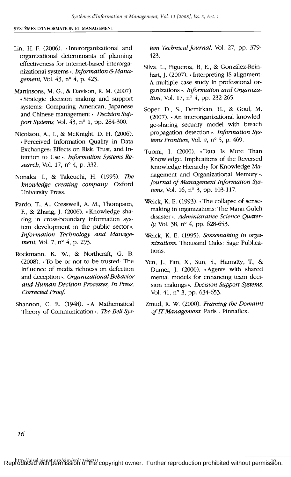- Lin, H.-F. (2006). «Interorganizational and organizational determinants of planning effectiveness for Internet-based interorganizational systems ». Information & Management, Vol. 43, nº 4, p. 423.
- Martinsons, M. G., & Davison, R. M. (2007). «Strategic decision making and support systems: Comparing American, Japanese and Chinese management ». Decision Support Systems, Vol. 43, nº 1, pp. 284-300.
- Nicolaou, A., I., & McKnight, D. H. (2006). « Perceived Information Quality in Data Exchanges: Effects on Risk, Trust, and Intention to Use ». Information Systems Research, Vol. 17, nº 4, p. 332.
- Nonaka, I., & Takeuchi, H. (1995). The knowledge creating company: Oxford **University Press.**
- Pardo, T., A., Cresswell, A. M., Thompson, F., & Zhang, J. (2006). «Knowledge sharing in cross-boundary information system development in the public sector». Information Technology and Management, Vol. 7, nº 4, p. 293.
- Rockmann, K. W., & Northcraft, G. B. (2008). «To be or not to be trusted: The influence of media richness on defection and deception ». Organizational Behavior and Human Decision Processes, In Press, Corrected Proof.
- Shannon, C. E. (1948). «A Mathematical Theory of Communication ». The Bell Sys-

tem Technical Journal, Vol. 27, pp. 379-423.

- Silva, L., Figueroa, B, E., & González-Reinhart, J. (2007). «Interpreting IS alignment: A multiple case study in professional organizations». Information and Organization, Vol. 17, nº 4, pp. 232-265.
- Soper, D., S., Demirkan, H., & Goul, M. (2007). « An interorganizational knowledge-sharing security model with breach propagation detection». Information Systems Frontiers, Vol. 9, nº 5, p. 469.
- Tuomi, I. (2000). «Data Is More Than Knowledge: Implications of the Reversed Knowledge Hierarchy for Knowledge Management and Organizational Memory». Journal of Management Information Systems, Vol. 16, nº 3, pp. 103-117.
- Weick, K. E. (1993). « The collapse of sensemaking in organizations: The Mann Gulch disaster ». Administrative Science Quater $l$ y, Vol. 38, n° 4, pp. 628-653.
- Weick, K. E. (1995). Sensemaking in organizations. Thousand Oaks: Sage Publications.
- Yen, J., Fan, X., Sun, S., Hanratty, T., & Dumer, J. (2006). «Agents with shared mental models for enhancing team decision makings». Decision Support Systems, Vol. 41, nº 3, pp. 634-653.
- Zmud, R. W. (2000). Framing the Domains of IT Management. Paris: Pinnaflex.